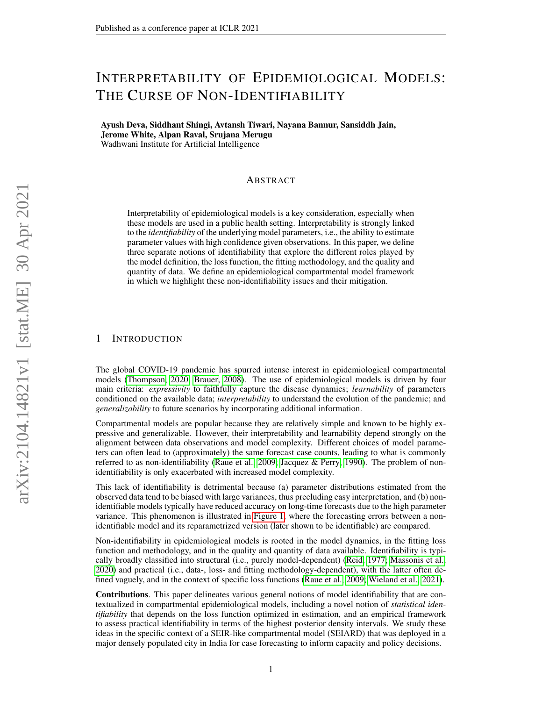# INTERPRETABILITY OF EPIDEMIOLOGICAL MODELS: THE CURSE OF NON-IDENTIFIABILITY

Ayush Deva, Siddhant Shingi, Avtansh Tiwari, Nayana Bannur, Sansiddh Jain, Jerome White, Alpan Raval, Srujana Merugu Wadhwani Institute for Artificial Intelligence

# ABSTRACT

Interpretability of epidemiological models is a key consideration, especially when these models are used in a public health setting. Interpretability is strongly linked to the *identifiability* of the underlying model parameters, i.e., the ability to estimate parameter values with high confidence given observations. In this paper, we define three separate notions of identifiability that explore the different roles played by the model definition, the loss function, the fitting methodology, and the quality and quantity of data. We define an epidemiological compartmental model framework in which we highlight these non-identifiability issues and their mitigation.

## 1 INTRODUCTION

The global COVID-19 pandemic has spurred intense interest in epidemiological compartmental models [\(Thompson, 2020;](#page-4-0) [Brauer, 2008\)](#page-4-1). The use of epidemiological models is driven by four main criteria: *expressivity* to faithfully capture the disease dynamics; *learnability* of parameters conditioned on the available data; *interpretability* to understand the evolution of the pandemic; and *generalizability* to future scenarios by incorporating additional information.

Compartmental models are popular because they are relatively simple and known to be highly expressive and generalizable. However, their interpretability and learnability depend strongly on the alignment between data observations and model complexity. Different choices of model parameters can often lead to (approximately) the same forecast case counts, leading to what is commonly referred to as non-identifiability [\(Raue et al., 2009;](#page-4-2) [Jacquez & Perry, 1990\)](#page-4-3). The problem of nonidentifiability is only exacerbated with increased model complexity.

This lack of identifiability is detrimental because (a) parameter distributions estimated from the observed data tend to be biased with large variances, thus precluding easy interpretation, and (b) nonidentifiable models typically have reduced accuracy on long-time forecasts due to the high parameter variance. This phenomenon is illustrated in [Figure 1,](#page-1-0) where the forecasting errors between a nonidentifiable model and its reparametrized version (later shown to be identifiable) are compared.

Non-identifiability in epidemiological models is rooted in the model dynamics, in the fitting loss function and methodology, and in the quality and quantity of data available. Identifiability is typically broadly classified into structural (i.e., purely model-dependent) [\(Reid, 1977;](#page-4-4) [Massonis et al.,](#page-4-5) [2020\)](#page-4-5) and practical (i.e., data-, loss- and fitting methodology-dependent), with the latter often defined vaguely, and in the context of specific loss functions [\(Raue et al., 2009;](#page-4-2) [Wieland et al., 2021\)](#page-5-0).

Contributions. This paper delineates various general notions of model identifiability that are contextualized in compartmental epidemiological models, including a novel notion of *statistical identifiability* that depends on the loss function optimized in estimation, and an empirical framework to assess practical identifiability in terms of the highest posterior density intervals. We study these ideas in the specific context of a SEIR-like compartmental model (SEIARD) that was deployed in a major densely populated city in India for case forecasting to inform capacity and policy decisions.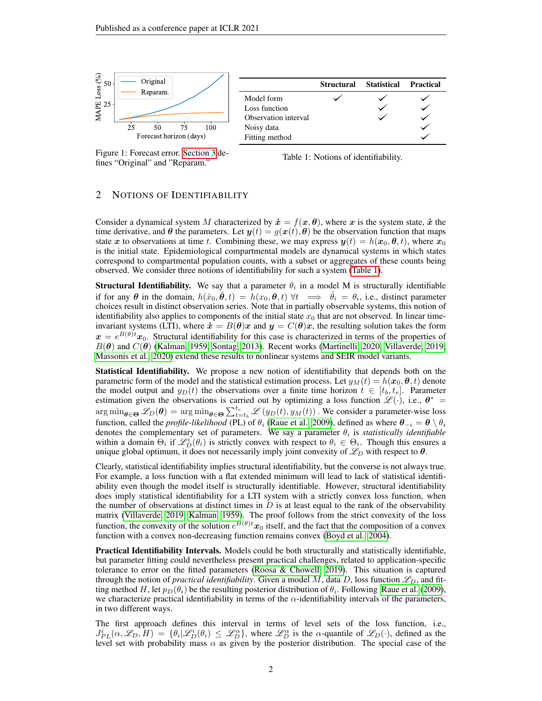

<span id="page-1-0"></span>Figure 1: Forecast error. [Section 3](#page-2-0) defines "Original" and "Reparam."

<span id="page-1-1"></span>Table 1: Notions of identifiability.

# <span id="page-1-2"></span>2 NOTIONS OF IDENTIFIABILITY

Consider a dynamical system M characterized by  $\dot{x} = f(x, \theta)$ , where x is the system state, x the time derivative, and  $\theta$  the parameters. Let  $y(t) = g(x(t), \theta)$  be the observation function that maps state x to observations at time t. Combining these, we may express  $y(t) = h(x_0, \theta, t)$ , where  $x_0$ is the initial state. Epidemiological compartmental models are dynamical systems in which states correspond to compartmental population counts, with a subset or aggregates of these counts being observed. We consider three notions of identifiability for such a system [\(Table 1\)](#page-1-1).

**Structural Identifiability.** We say that a parameter  $\theta_i$  in a model M is structurally identifiable if for any  $\theta$  in the domain,  $h(\hat{x}_0, \hat{\theta}, t) = h(x_0, \theta, t) \forall t \implies \hat{\theta}_i = \theta_i$ , i.e., distinct parameter choices result in distinct observation series. Note that in partially observable systems, this notion of identifiability also applies to components of the initial state  $x_0$  that are not observed. In linear timeinvariant systems (LTI), where  $\dot{x} = B(\theta)x$  and  $y = C(\theta)x$ , the resulting solution takes the form  $x = e^{B(\theta)t}x_0$ . Structural identifiability for this case is characterized in terms of the properties of  $B(\theta)$  and  $C(\theta)$  [\(Kalman, 1959;](#page-4-6) [Sontag, 2013\)](#page-4-7). Recent works [\(Martinelli, 2020;](#page-4-8) [Villaverde, 2019;](#page-4-9) [Massonis et al., 2020\)](#page-4-5) extend these results to nonlinear systems and SEIR model variants.

Statistical Identifiability. We propose a new notion of identifiability that depends both on the parametric form of the model and the statistical estimation process. Let  $y_M(t) = h(x_0, \theta, t)$  denote the model output and  $y_D(t)$  the observations over a finite time horizon  $t \in [t_b, t_e]$ . Parameter estimation given the observations is carried out by optimizing a loss function  $\mathscr{L}(\cdot)$ , i.e.,  $\theta^*$  $\arg\min_{\theta \in \Theta} \mathcal{L}_D(\theta) = \arg\min_{\theta \in \Theta} \sum_{t=t_b}^{t_e} \mathcal{L}(y_D(t), y_M(t))$ . We consider a parameter-wise loss function, called the *profile-likelihood* (PL) of  $\theta_i$  [\(Raue et al., 2009\)](#page-4-2), defined as where  $\theta_{-i} = \theta \setminus \theta_i$ denotes the complementary set of parameters. We say a parameter  $\theta_i$  is *statistically identifiable* within a domain  $\Theta_i$  if  $\mathscr{L}_D^i(\theta_i)$  is strictly convex with respect to  $\theta_i \in \Theta_i$ . Though this ensures a unique global optimum, it does not necessarily imply joint convexity of  $\mathscr{L}_D$  with respect to  $\theta$ .

Clearly, statistical identifiability implies structural identifiability, but the converse is not always true. For example, a loss function with a flat extended minimum will lead to lack of statistical identifiability even though the model itself is structurally identifiable. However, structural identifiability does imply statistical identifiability for a LTI system with a strictly convex loss function, when the number of observations at distinct times in  $D$  is at least equal to the rank of the observability matrix [\(Villaverde, 2019;](#page-4-9) [Kalman, 1959\)](#page-4-6). The proof follows from the strict convexity of the loss function, the convexity of the solution  $e^{B(\theta)t}x_0$  itself, and the fact that the composition of a convex function with a convex non-decreasing function remains convex [\(Boyd et al., 2004\)](#page-4-10).

**Practical Identifiability Intervals.** Models could be both structurally and statistically identifiable, but parameter fitting could nevertheless present practical challenges, related to application-specific tolerance to error on the fitted parameters [\(Roosa & Chowell, 2019\)](#page-4-11). This situation is captured through the notion of *practical identifiability*. Given a model M, data D, loss function  $\mathcal{L}_D$ , and fitting method H, let  $p_D(\theta_i)$  be the resulting posterior distribution of  $\theta_i$ . Following [Raue et al.](#page-4-2) [\(2009\)](#page-4-2), we characterize practical identifiability in terms of the  $\alpha$ -identifiability intervals of the parameters, in two different ways.

The first approach defines this interval in terms of level sets of the loss function, i.e.,  $J_{PL}^i(\alpha, \mathscr{L}_D, H) = \{\theta_i | \mathscr{L}_D^i(\theta_i) \leq \mathscr{L}_D^{\alpha}\}\$ , where  $\mathscr{L}_D^{\alpha}$  is the  $\alpha$ -quantile of  $\mathscr{L}_D(\cdot)$ , defined as the level set with probability mass  $\alpha$  as given by the posterior distribution. The special case of the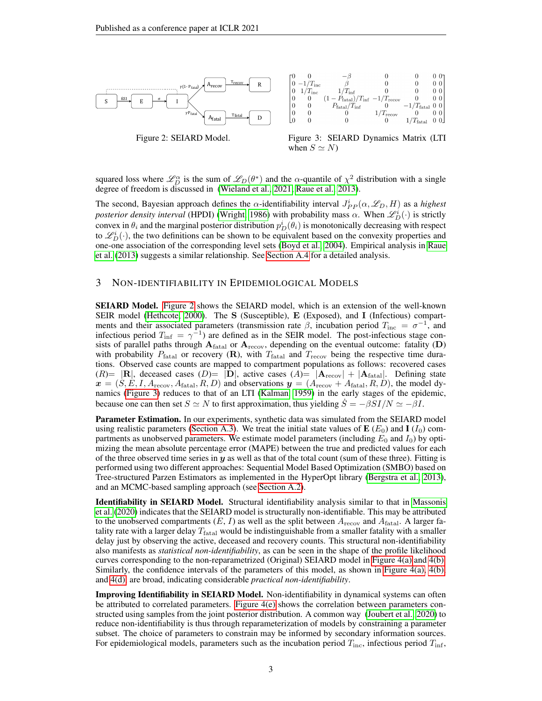<span id="page-2-1"></span>

Figure 2: SEIARD Model. Figure 3: SEIARD Dynamics Matrix (LTI when  $S \simeq N$ )

squared loss where  $\mathcal{L}_D^{\alpha}$  is the sum of  $\mathcal{L}_D(\theta^*)$  and the  $\alpha$ -quantile of  $\chi^2$  distribution with a single degree of freedom is discussed in [\(Wieland et al., 2021;](#page-5-0) [Raue et al., 2013\)](#page-4-12).

The second, Bayesian approach defines the  $\alpha$ -identifiability interval  $J_{PP}^i(\alpha, \mathscr{L}_D, H)$  as a *highest posterior density interval* (HPDI) [\(Wright, 1986\)](#page-5-1) with probability mass  $\alpha$ . When  $\mathscr{L}_D^i(\cdot)$  is strictly convex in  $\theta_i$  and the marginal posterior distribution  $p_D^i(\theta_i)$  is monotonically decreasing with respect to  $\mathcal{L}_D^i(\cdot)$ , the two definitions can be shown to be equivalent based on the convexity properties and one-one association of the corresponding level sets [\(Boyd et al., 2004\)](#page-4-10). Empirical analysis in [Raue](#page-4-12) [et al.](#page-4-12) [\(2013\)](#page-4-12) suggests a similar relationship. See [Section A.4](#page-7-0) for a detailed analysis.

## <span id="page-2-0"></span>3 NON-IDENTIFIABILITY IN EPIDEMIOLOGICAL MODELS

SEIARD Model. [Figure 2](#page-2-1) shows the SEIARD model, which is an extension of the well-known SEIR model [\(Hethcote, 2000\)](#page-4-13). The S (Susceptible), E (Exposed), and I (Infectious) compartments and their associated parameters (transmission rate  $\beta$ , incubation period  $T_{\text{inc}} = \sigma^{-1}$ , and infectious period  $T_{\text{inf}} = \gamma^{-1}$ ) are defined as in the SEIR model. The post-infectious stage consists of parallel paths through  $A_{\text{fatal}}$  or  $A_{\text{recov}}$ , depending on the eventual outcome: fatality (D) with probability  $P_{\text{fatal}}$  or recovery  $(\mathbf{R})$ , with  $T_{\text{fatal}}$  and  $T_{\text{recov}}$  being the respective time durations. Observed case counts are mapped to compartment populations as follows: recovered cases (R)=  $|\mathbf{R}|$ , deceased cases (D)=  $|\mathbf{D}|$ , active cases (A)=  $|\mathbf{A}_{\text{recov}}| + |\mathbf{A}_{\text{fatal}}|$ . Defining state  $x = (S, E, I, A_{\text{recov}}, A_{\text{fatal}}, R, D)$  and observations  $y = (A_{\text{recov}} + A_{\text{fatal}}, R, D)$ , the model dynamics [\(Figure 3\)](#page-2-1) reduces to that of an LTI [\(Kalman, 1959\)](#page-4-6) in the early stages of the epidemic, because one can then set  $S \simeq N$  to first approximation, thus yielding  $\hat{S} = -\beta SI/N \simeq -\beta I$ .

Parameter Estimation. In our experiments, synthetic data was simulated from the SEIARD model using realistic parameters [\(Section A.3\)](#page-7-1). We treat the initial state values of  $\mathbf{E}$  ( $E_0$ ) and  $\mathbf{I}$  ( $I_0$ ) compartments as unobserved parameters. We estimate model parameters (including  $E_0$  and  $I_0$ ) by optimizing the mean absolute percentage error (MAPE) between the true and predicted values for each of the three observed time series in  $y$  as well as that of the total count (sum of these three). Fitting is performed using two different approaches: Sequential Model Based Optimization (SMBO) based on Tree-structured Parzen Estimators as implemented in the HyperOpt library [\(Bergstra et al., 2013\)](#page-4-14), and an MCMC-based sampling approach (see [Section A.2\)](#page-6-0).

Identifiability in SEIARD Model. Structural identifiability analysis similar to that in [Massonis](#page-4-5) [et al.](#page-4-5) [\(2020\)](#page-4-5) indicates that the SEIARD model is structurally non-identifiable. This may be attributed to the unobserved compartments  $(E, I)$  as well as the split between  $A_{\text{recov}}$  and  $A_{\text{fatal}}$ . A larger fatality rate with a larger delay  $T_{\text{fatal}}$  would be indistinguishable from a smaller fatality with a smaller delay just by observing the active, deceased and recovery counts. This structural non-identifiability also manifests as *statistical non-identifiability*, as can be seen in the shape of the profile likelihood curves corresponding to the non-reparametrized (Original) SEIARD model in [Figure 4\(a\)](#page-3-0) and [4\(b\).](#page-3-0) Similarly, the confidence intervals of the parameters of this model, as shown in [Figure 4\(a\), 4\(b\),](#page-3-0) and [4\(d\),](#page-3-0) are broad, indicating considerable *practical non-identifiability*.

Improving Identifiability in SEIARD Model. Non-identifiability in dynamical systems can often be attributed to correlated parameters. [Figure 4\(e\)](#page-3-0) shows the correlation between parameters constructed using samples from the joint posterior distribution. A common way [\(Joubert et al., 2020\)](#page-4-15) to reduce non-identifiability is thus through reparameterization of models by constraining a parameter subset. The choice of parameters to constrain may be informed by secondary information sources. For epidemiological models, parameters such as the incubation period  $T_{\text{inc}}$ , infectious period  $T_{\text{inf}}$ ,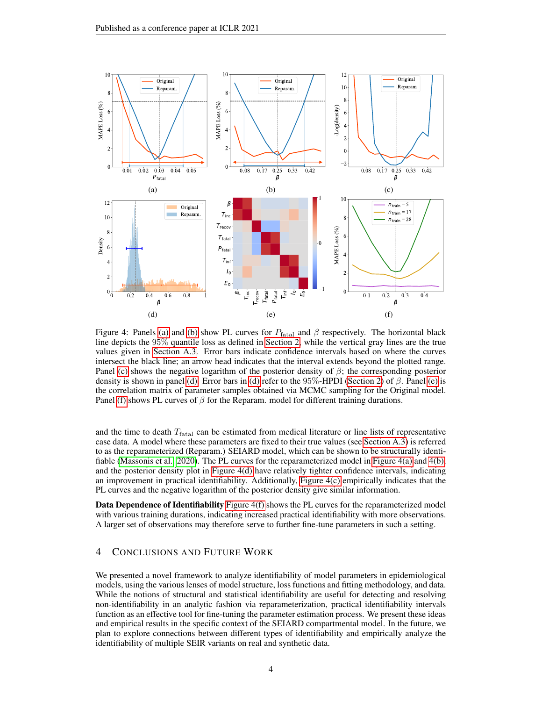<span id="page-3-0"></span>

Figure 4: Panels [\(a\)](#page-3-0) and [\(b\)](#page-3-0) show PL curves for  $P_{\text{fatal}}$  and  $\beta$  respectively. The horizontal black line depicts the 95% quantile loss as defined in [Section 2,](#page-1-2) while the vertical gray lines are the true values given in [Section A.3.](#page-7-1) Error bars indicate confidence intervals based on where the curves intersect the black line; an arrow head indicates that the interval extends beyond the plotted range. Panel [\(c\)](#page-3-0) shows the negative logarithm of the posterior density of  $\beta$ ; the corresponding posterior density is shown in panel [\(d\).](#page-3-0) Error bars in [\(d\)](#page-3-0) refer to the  $95\%$ -HPDI [\(Section 2\)](#page-1-2) of  $\beta$ . Panel [\(e\)](#page-3-0) is the correlation matrix of parameter samples obtained via MCMC sampling for the Original model. Panel [\(f\)](#page-3-0) shows PL curves of  $\beta$  for the Reparam. model for different training durations.

and the time to death  $T<sub>fatal</sub>$  can be estimated from medical literature or line lists of representative case data. A model where these parameters are fixed to their true values (see [Section A.3\)](#page-7-1) is referred to as the reparameterized (Reparam.) SEIARD model, which can be shown to be structurally identifiable [\(Massonis et al., 2020\)](#page-4-5). The PL curves for the reparameterized model in [Figure 4\(a\)](#page-3-0) and [4\(b\),](#page-3-0) and the posterior density plot in [Figure 4\(d\)](#page-3-0) have relatively tighter confidence intervals, indicating an improvement in practical identifiability. Additionally, [Figure 4\(c\)](#page-3-0) empirically indicates that the PL curves and the negative logarithm of the posterior density give similar information.

Data Dependence of Identifiability [Figure 4\(f\)](#page-3-0) shows the PL curves for the reparameterized model with various training durations, indicating increased practical identifiability with more observations. A larger set of observations may therefore serve to further fine-tune parameters in such a setting.

# 4 CONCLUSIONS AND FUTURE WORK

We presented a novel framework to analyze identifiability of model parameters in epidemiological models, using the various lenses of model structure, loss functions and fitting methodology, and data. While the notions of structural and statistical identifiability are useful for detecting and resolving non-identifiability in an analytic fashion via reparameterization, practical identifiability intervals function as an effective tool for fine-tuning the parameter estimation process. We present these ideas and empirical results in the specific context of the SEIARD compartmental model. In the future, we plan to explore connections between different types of identifiability and empirically analyze the identifiability of multiple SEIR variants on real and synthetic data.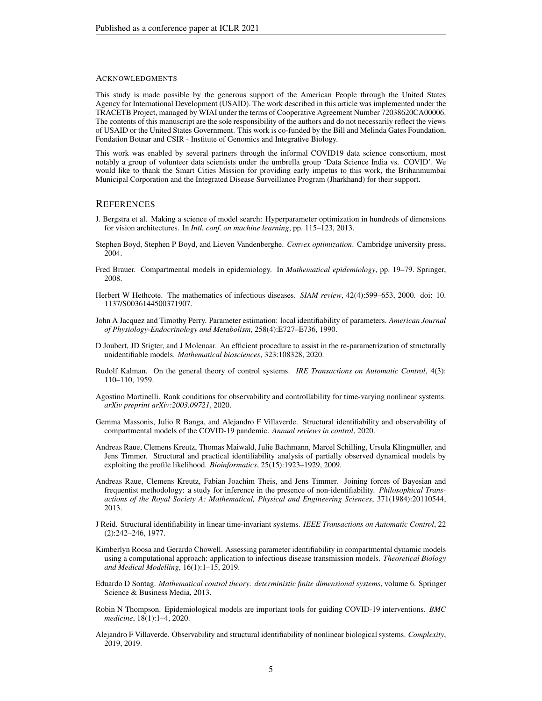#### ACKNOWLEDGMENTS

This study is made possible by the generous support of the American People through the United States Agency for International Development (USAID). The work described in this article was implemented under the TRACETB Project, managed by WIAI under the terms of Cooperative Agreement Number 72038620CA00006. The contents of this manuscript are the sole responsibility of the authors and do not necessarily reflect the views of USAID or the United States Government. This work is co-funded by the Bill and Melinda Gates Foundation, Fondation Botnar and CSIR - Institute of Genomics and Integrative Biology.

This work was enabled by several partners through the informal COVID19 data science consortium, most notably a group of volunteer data scientists under the umbrella group 'Data Science India vs. COVID'. We would like to thank the Smart Cities Mission for providing early impetus to this work, the Brihanmumbai Municipal Corporation and the Integrated Disease Surveillance Program (Jharkhand) for their support.

## **REFERENCES**

- <span id="page-4-14"></span>J. Bergstra et al. Making a science of model search: Hyperparameter optimization in hundreds of dimensions for vision architectures. In *Intl. conf. on machine learning*, pp. 115–123, 2013.
- <span id="page-4-10"></span>Stephen Boyd, Stephen P Boyd, and Lieven Vandenberghe. *Convex optimization*. Cambridge university press, 2004.
- <span id="page-4-1"></span>Fred Brauer. Compartmental models in epidemiology. In *Mathematical epidemiology*, pp. 19–79. Springer, 2008.
- <span id="page-4-13"></span>Herbert W Hethcote. The mathematics of infectious diseases. *SIAM review*, 42(4):599–653, 2000. doi: 10. 1137/S0036144500371907.
- <span id="page-4-3"></span>John A Jacquez and Timothy Perry. Parameter estimation: local identifiability of parameters. *American Journal of Physiology-Endocrinology and Metabolism*, 258(4):E727–E736, 1990.
- <span id="page-4-15"></span>D Joubert, JD Stigter, and J Molenaar. An efficient procedure to assist in the re-parametrization of structurally unidentifiable models. *Mathematical biosciences*, 323:108328, 2020.
- <span id="page-4-6"></span>Rudolf Kalman. On the general theory of control systems. *IRE Transactions on Automatic Control*, 4(3): 110–110, 1959.
- <span id="page-4-8"></span>Agostino Martinelli. Rank conditions for observability and controllability for time-varying nonlinear systems. *arXiv preprint arXiv:2003.09721*, 2020.
- <span id="page-4-5"></span>Gemma Massonis, Julio R Banga, and Alejandro F Villaverde. Structural identifiability and observability of compartmental models of the COVID-19 pandemic. *Annual reviews in control*, 2020.
- <span id="page-4-2"></span>Andreas Raue, Clemens Kreutz, Thomas Maiwald, Julie Bachmann, Marcel Schilling, Ursula Klingmuller, and ¨ Jens Timmer. Structural and practical identifiability analysis of partially observed dynamical models by exploiting the profile likelihood. *Bioinformatics*, 25(15):1923–1929, 2009.
- <span id="page-4-12"></span>Andreas Raue, Clemens Kreutz, Fabian Joachim Theis, and Jens Timmer. Joining forces of Bayesian and frequentist methodology: a study for inference in the presence of non-identifiability. *Philosophical Transactions of the Royal Society A: Mathematical, Physical and Engineering Sciences*, 371(1984):20110544, 2013.
- <span id="page-4-4"></span>J Reid. Structural identifiability in linear time-invariant systems. *IEEE Transactions on Automatic Control*, 22 (2):242–246, 1977.
- <span id="page-4-11"></span>Kimberlyn Roosa and Gerardo Chowell. Assessing parameter identifiability in compartmental dynamic models using a computational approach: application to infectious disease transmission models. *Theoretical Biology and Medical Modelling*, 16(1):1–15, 2019.
- <span id="page-4-7"></span>Eduardo D Sontag. *Mathematical control theory: deterministic finite dimensional systems*, volume 6. Springer Science & Business Media, 2013.
- <span id="page-4-0"></span>Robin N Thompson. Epidemiological models are important tools for guiding COVID-19 interventions. *BMC medicine*, 18(1):1–4, 2020.
- <span id="page-4-9"></span>Alejandro F Villaverde. Observability and structural identifiability of nonlinear biological systems. *Complexity*, 2019, 2019.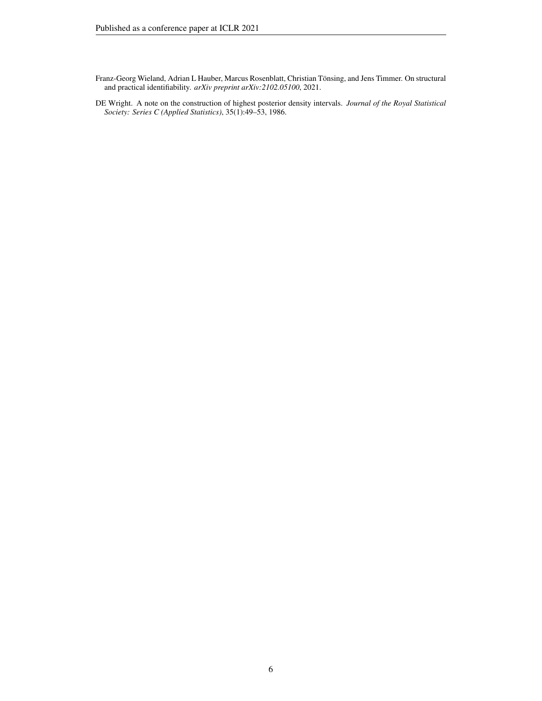<span id="page-5-0"></span>Franz-Georg Wieland, Adrian L Hauber, Marcus Rosenblatt, Christian Tönsing, and Jens Timmer. On structural and practical identifiability. *arXiv preprint arXiv:2102.05100*, 2021.

<span id="page-5-1"></span>DE Wright. A note on the construction of highest posterior density intervals. *Journal of the Royal Statistical Society: Series C (Applied Statistics)*, 35(1):49–53, 1986.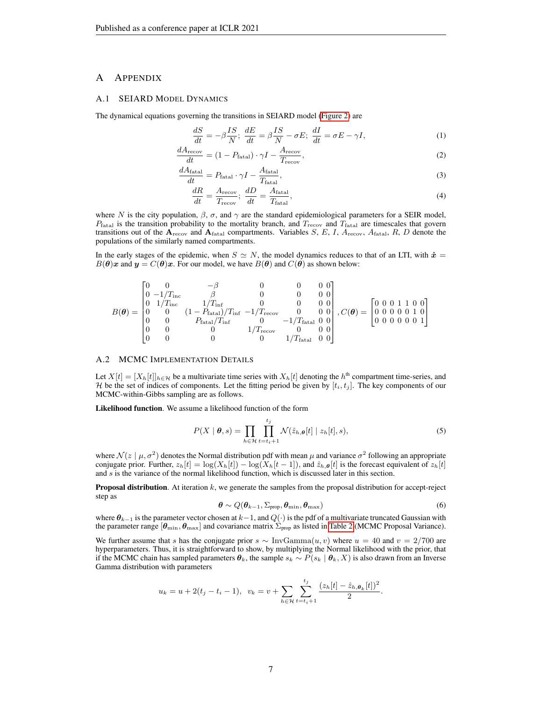# A APPENDIX

## A.1 SEIARD MODEL DYNAMICS

The dynamical equations governing the transitions in SEIARD model [\(Figure 2\)](#page-2-1) are

$$
\frac{dS}{dt} = -\beta \frac{IS}{N}; \quad \frac{dE}{dt} = \beta \frac{IS}{N} - \sigma E; \quad \frac{dI}{dt} = \sigma E - \gamma I,\tag{1}
$$

$$
\frac{dA_{\text{recov}}}{dt} = (1 - P_{\text{fatal}}) \cdot \gamma I - \frac{A_{\text{recov}}}{T_{\text{recov}}},\tag{2}
$$

$$
\frac{dA_{\text{fatal}}}{dt} = P_{\text{fatal}} \cdot \gamma I - \frac{A_{\text{fatal}}}{T_{\text{fatal}}},\tag{3}
$$

$$
\frac{dR}{dt} = \frac{A_{\text{recov}}}{T_{\text{recov}}}; \frac{dD}{dt} = \frac{A_{\text{fatal}}}{T_{\text{fatal}}},\tag{4}
$$

where N is the city population,  $\beta$ ,  $\sigma$ , and  $\gamma$  are the standard epidemiological parameters for a SEIR model,  $P_{\text{fatal}}$  is the transition probability to the mortality branch, and  $T_{\text{recov}}$  and  $T_{\text{fatal}}$  are timescales that govern transitions out of the  $A_{\text{recov}}$  and  $A_{\text{fatal}}$  compartments. Variables  $S, E, I, A_{\text{recov}}, A_{\text{fatal}}, R, D$  denote the populations of the similarly named compartments.

In the early stages of the epidemic, when  $S \simeq N$ , the model dynamics reduces to that of an LTI, with  $\dot{x} =$  $B(\theta)x$  and  $y = C(\theta)x$ . For our model, we have  $B(\theta)$  and  $C(\theta)$  as shown below:

$$
B(\theta) = \begin{bmatrix} 0 & 0 & -\beta & 0 & 0 & 0 \\ 0 & -1/T_{\text{inc}} & \beta & 0 & 0 & 0 \\ 0 & 1/T_{\text{inc}} & 1/T_{\text{inf}} & 0 & 0 & 0 \\ 0 & 0 & (1 - P_{\text{fatal}})/T_{\text{inf}} & -1/T_{\text{recov}} & 0 & 0 \\ 0 & 0 & P_{\text{fatal}}/T_{\text{inf}} & 0 & -1/T_{\text{fatal}} & 0 \\ 0 & 0 & 0 & 1/T_{\text{recov}} & 0 & 0 \\ 0 & 0 & 0 & 1/T_{\text{real}} & 0 & 0 \\ 0 & 0 & 0 & 0 & 1/T_{\text{flat}} & 0 \\ 0 & 0 & 0 & 0 & 1/T_{\text{flat}} & 0 \\ 0 & 0 & 0 & 0 & 1/T_{\text{flat}} & 0 \\ 0 & 0 & 0 & 0 & 1/T_{\text{flat}} & 0 \\ 0 & 0 & 0 & 0 & 1/T_{\text{flat}} & 0 \\ 0 & 0 & 0 & 0 & 0 & 1 \end{bmatrix}
$$

## <span id="page-6-0"></span>A.2 MCMC IMPLEMENTATION DETAILS

Let  $X[t] = [X_h[t]]_{h \in \mathcal{H}}$  be a multivariate time series with  $X_h[t]$  denoting the  $h^{\text{th}}$  compartment time-series, and H be the set of indices of components. Let the fitting period be given by  $[t_i, t_j]$ . The key components of our MCMC-within-Gibbs sampling are as follows.

Likelihood function. We assume a likelihood function of the form

$$
P(X \mid \boldsymbol{\theta}, s) = \prod_{h \in \mathcal{H}} \prod_{t=t_i+1}^{t_j} \mathcal{N}(\hat{z}_{h,\boldsymbol{\theta}}[t] \mid z_h[t], s),
$$
\n(5)

where  $\mathcal{N}(z \mid \mu, \sigma^2)$  denotes the Normal distribution pdf with mean  $\mu$  and variance  $\sigma^2$  following an appropriate conjugate prior. Further,  $z_h[t] = \log(X_h[t]) - \log(X_h[t-1])$ , and  $\hat{z}_{h,\theta}[t]$  is the forecast equivalent of  $z_h[t]$ and  $s$  is the variance of the normal likelihood function, which is discussed later in this section.

**Proposal distribution.** At iteration  $k$ , we generate the samples from the proposal distribution for accept-reject step as

<span id="page-6-1"></span>
$$
\boldsymbol{\theta} \sim Q(\boldsymbol{\theta}_{k-1}, \Sigma_{\text{prop}}, \boldsymbol{\theta}_{\text{min}}, \boldsymbol{\theta}_{\text{max}}) \tag{6}
$$

where  $\theta_{k-1}$  is the parameter vector chosen at  $k-1$ , and  $Q(\cdot)$  is the pdf of a multivariate truncated Gaussian with the parameter range  $[\theta_{\min}, \theta_{\max}]$  and covariance matrix  $\Sigma_{\text{prop}}$  as listed in [Table 2](#page-7-2) (MCMC Proposal Variance).

We further assume that s has the conjugate prior s  $\sim \text{InvGamma}(u, v)$  where  $u = 40$  and  $v = 2/700$  are hyperparameters. Thus, it is straightforward to show, by multiplying the Normal likelihood with the prior, that if the MCMC chain has sampled parameters  $\theta_k$ , the sample  $s_k \sim P(s_k | \theta_k, X)$  is also drawn from an Inverse Gamma distribution with parameters

$$
u_k = u + 2(t_j - t_i - 1), \ \ v_k = v + \sum_{h \in \mathcal{H}} \sum_{t=t_i+1}^{t_j} \frac{(z_h[t] - \hat{z}_{h,\theta_k}[t])^2}{2}.
$$